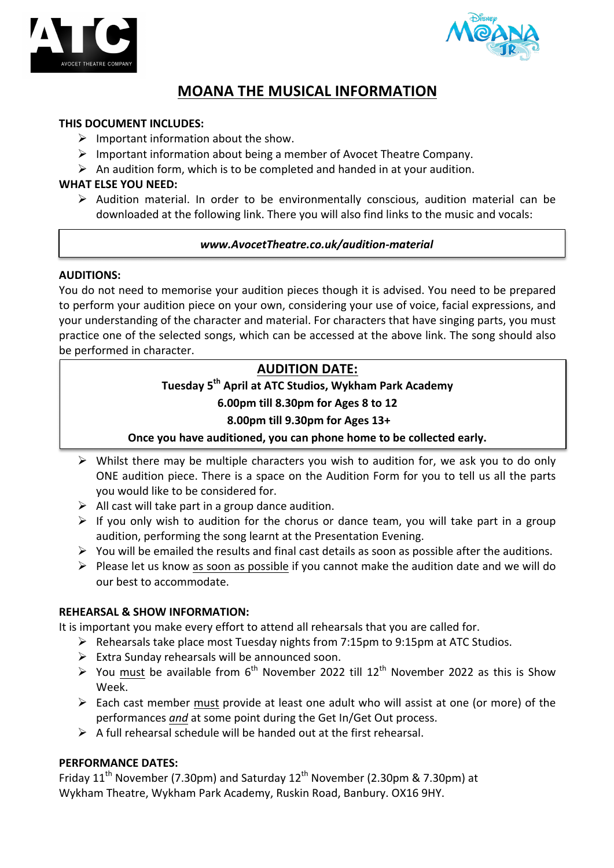



# **MOANA THE MUSICAL INFORMATION**

## **THIS DOCUMENT INCLUDES:**

- $\triangleright$  Important information about the show.
- $\triangleright$  Important information about being a member of Avocet Theatre Company.
- $\triangleright$  An audition form, which is to be completed and handed in at your audition.

### **WHAT ELSE YOU NEED:**

 $\triangleright$  Audition material. In order to be environmentally conscious, audition material can be downloaded at the following link. There you will also find links to the music and vocals:

### *www.AvocetTheatre.co.uk/audition-material*

### **AUDITIONS:**

You do not need to memorise your audition pieces though it is advised. You need to be prepared to perform your audition piece on your own, considering your use of voice, facial expressions, and your understanding of the character and material. For characters that have singing parts, you must practice one of the selected songs, which can be accessed at the above link. The song should also be performed in character.

## **AUDITION DATE:**

## Tuesday 5<sup>th</sup> April at ATC Studios, Wykham Park Academy

## **6.00pm till 8.30pm for Ages 8 to 12**

## **8.00pm till 9.30pm for Ages 13+**

Once you have auditioned, you can phone home to be collected early.

- $\triangleright$  Whilst there may be multiple characters you wish to audition for, we ask you to do only ONE audition piece. There is a space on the Audition Form for you to tell us all the parts you would like to be considered for.
- $\triangleright$  All cast will take part in a group dance audition.
- $\triangleright$  If you only wish to audition for the chorus or dance team, you will take part in a group audition, performing the song learnt at the Presentation Evening.
- $\triangleright$  You will be emailed the results and final cast details as soon as possible after the auditions.
- $\triangleright$  Please let us know as soon as possible if you cannot make the audition date and we will do our best to accommodate.

### **REHEARSAL & SHOW INFORMATION:**

It is important you make every effort to attend all rehearsals that you are called for.

- $\triangleright$  Rehearsals take place most Tuesday nights from 7:15pm to 9:15pm at ATC Studios.
- $\triangleright$  Extra Sunday rehearsals will be announced soon.
- $\triangleright$  You must be available from 6<sup>th</sup> November 2022 till 12<sup>th</sup> November 2022 as this is Show Week.
- $\triangleright$  Each cast member must provide at least one adult who will assist at one (or more) of the performances *and* at some point during the Get In/Get Out process.
- $\triangleright$  A full rehearsal schedule will be handed out at the first rehearsal.

### **PERFORMANCE DATES:**

Friday  $11<sup>th</sup>$  November (7.30pm) and Saturday  $12<sup>th</sup>$  November (2.30pm & 7.30pm) at Wykham Theatre, Wykham Park Academy, Ruskin Road, Banbury. OX16 9HY.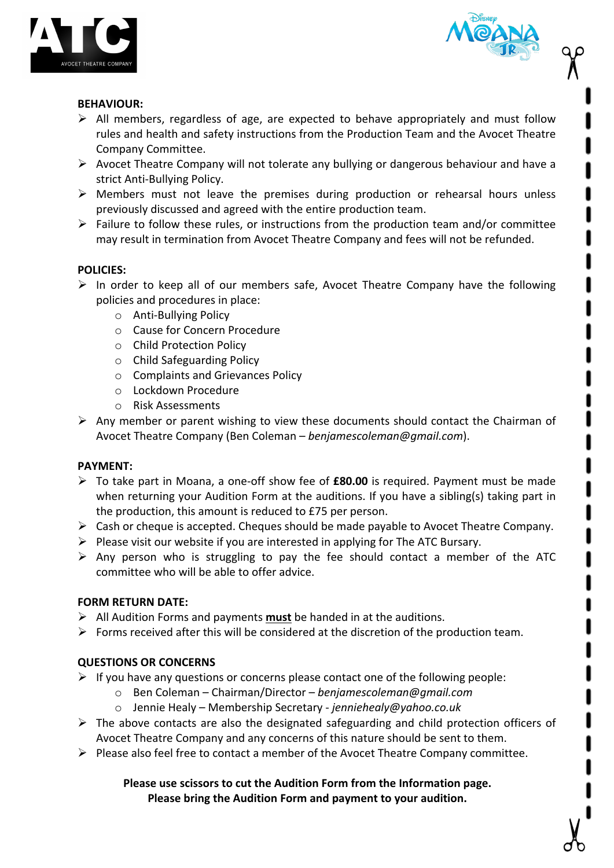



## **BEHAVIOUR:**

- $\triangleright$  All members, regardless of age, are expected to behave appropriately and must follow rules and health and safety instructions from the Production Team and the Avocet Theatre Company Committee.
- $\triangleright$  Avocet Theatre Company will not tolerate any bullying or dangerous behaviour and have a strict Anti-Bullying Policy.
- $\triangleright$  Members must not leave the premises during production or rehearsal hours unless previously discussed and agreed with the entire production team.
- $\triangleright$  Failure to follow these rules, or instructions from the production team and/or committee may result in termination from Avocet Theatre Company and fees will not be refunded.

## **POLICIES:**

- $\triangleright$  In order to keep all of our members safe, Avocet Theatre Company have the following policies and procedures in place:
	- $\circ$  Anti-Bullying Policy
	- o Cause for Concern Procedure
	- o Child Protection Policy
	- $\circ$  Child Safeguarding Policy
	- $\circ$  Complaints and Grievances Policy
	- o Lockdown Procedure
	- o Risk Assessments
- $\triangleright$  Any member or parent wishing to view these documents should contact the Chairman of Avocet Theatre Company (Ben Coleman – *benjamescoleman@gmail.com*).

### **PAYMENT:**

- $\triangleright$  To take part in Moana, a one-off show fee of **£80.00** is required. Payment must be made when returning your Audition Form at the auditions. If you have a sibling(s) taking part in the production, this amount is reduced to  $£75$  per person.
- $\triangleright$  Cash or cheque is accepted. Cheques should be made payable to Avocet Theatre Company.
- $\triangleright$  Please visit our website if you are interested in applying for The ATC Bursary.
- $\triangleright$  Any person who is struggling to pay the fee should contact a member of the ATC committee who will be able to offer advice.

### **FORM RETURN DATE:**

- $\triangleright$  All Audition Forms and payments **must** be handed in at the auditions.
- $\triangleright$  Forms received after this will be considered at the discretion of the production team.

## **QUESTIONS OR CONCERNS**

- $\triangleright$  If you have any questions or concerns please contact one of the following people:
	- o Ben Coleman – Chairman/Director – *benjamescoleman@gmail.com*
	- o Jennie Healy Membership Secretary *jenniehealy@yahoo.co.uk*
- $\triangleright$  The above contacts are also the designated safeguarding and child protection officers of Avocet Theatre Company and any concerns of this nature should be sent to them.
- $\triangleright$  Please also feel free to contact a member of the Avocet Theatre Company committee.

## **Please use scissors to cut the Audition Form from the Information page.** Please bring the Audition Form and payment to your audition.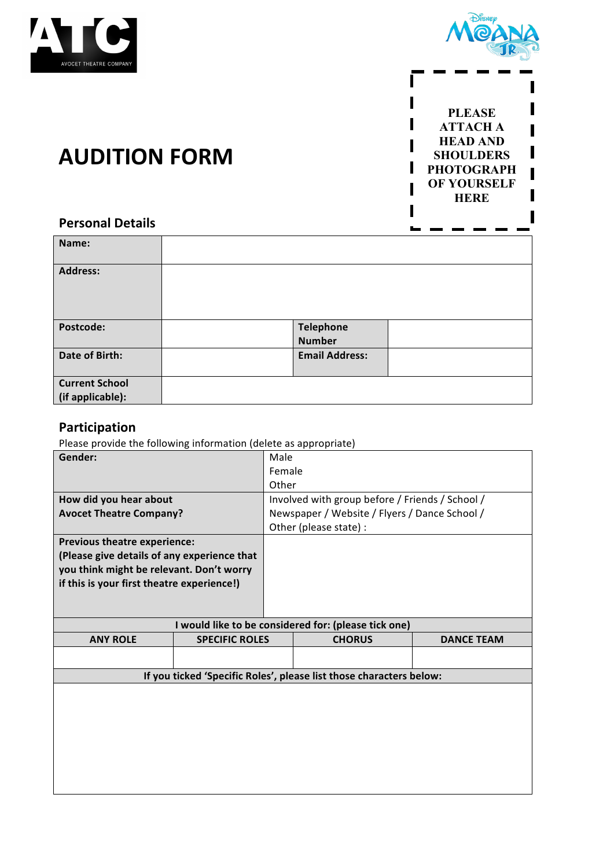



ι

I

ı

 $\blacksquare$ 

**PLEASE ATTACH A HEAD AND SHOULDERS PHOTOGRAPH OF YOURSELF**   $\overline{\phantom{a}}$ **HERE**I

П

ı

ı

I

П

 $\blacksquare$ 

ı

## **Personal Details**

**AUDITION FORM** 

| Name:                 |                                   |  |
|-----------------------|-----------------------------------|--|
| <b>Address:</b>       |                                   |  |
| Postcode:             | <b>Telephone</b><br><b>Number</b> |  |
|                       |                                   |  |
| Date of Birth:        | <b>Email Address:</b>             |  |
| <b>Current School</b> |                                   |  |
| (if applicable):      |                                   |  |

# **Participation**

Please provide the following information (delete as appropriate)

|                                                      | Male                                                                                                                                                           |                                                                                                        |  |  |
|------------------------------------------------------|----------------------------------------------------------------------------------------------------------------------------------------------------------------|--------------------------------------------------------------------------------------------------------|--|--|
|                                                      | Female                                                                                                                                                         |                                                                                                        |  |  |
|                                                      |                                                                                                                                                                |                                                                                                        |  |  |
|                                                      | Involved with group before / Friends / School /                                                                                                                |                                                                                                        |  |  |
|                                                      | Newspaper / Website / Flyers / Dance School /                                                                                                                  |                                                                                                        |  |  |
|                                                      |                                                                                                                                                                |                                                                                                        |  |  |
|                                                      |                                                                                                                                                                |                                                                                                        |  |  |
|                                                      |                                                                                                                                                                |                                                                                                        |  |  |
|                                                      |                                                                                                                                                                |                                                                                                        |  |  |
|                                                      |                                                                                                                                                                |                                                                                                        |  |  |
|                                                      |                                                                                                                                                                |                                                                                                        |  |  |
|                                                      |                                                                                                                                                                |                                                                                                        |  |  |
| I would like to be considered for: (please tick one) |                                                                                                                                                                |                                                                                                        |  |  |
|                                                      | <b>CHORUS</b>                                                                                                                                                  | <b>DANCE TEAM</b>                                                                                      |  |  |
|                                                      |                                                                                                                                                                |                                                                                                        |  |  |
|                                                      |                                                                                                                                                                |                                                                                                        |  |  |
|                                                      |                                                                                                                                                                |                                                                                                        |  |  |
|                                                      |                                                                                                                                                                |                                                                                                        |  |  |
|                                                      |                                                                                                                                                                |                                                                                                        |  |  |
|                                                      |                                                                                                                                                                |                                                                                                        |  |  |
|                                                      |                                                                                                                                                                |                                                                                                        |  |  |
|                                                      |                                                                                                                                                                |                                                                                                        |  |  |
|                                                      |                                                                                                                                                                |                                                                                                        |  |  |
|                                                      |                                                                                                                                                                |                                                                                                        |  |  |
|                                                      | (Please give details of any experience that<br>you think might be relevant. Don't worry<br>if this is your first theatre experience!)<br><b>SPECIFIC ROLES</b> | Other<br>Other (please state) :<br>If you ticked 'Specific Roles', please list those characters below: |  |  |